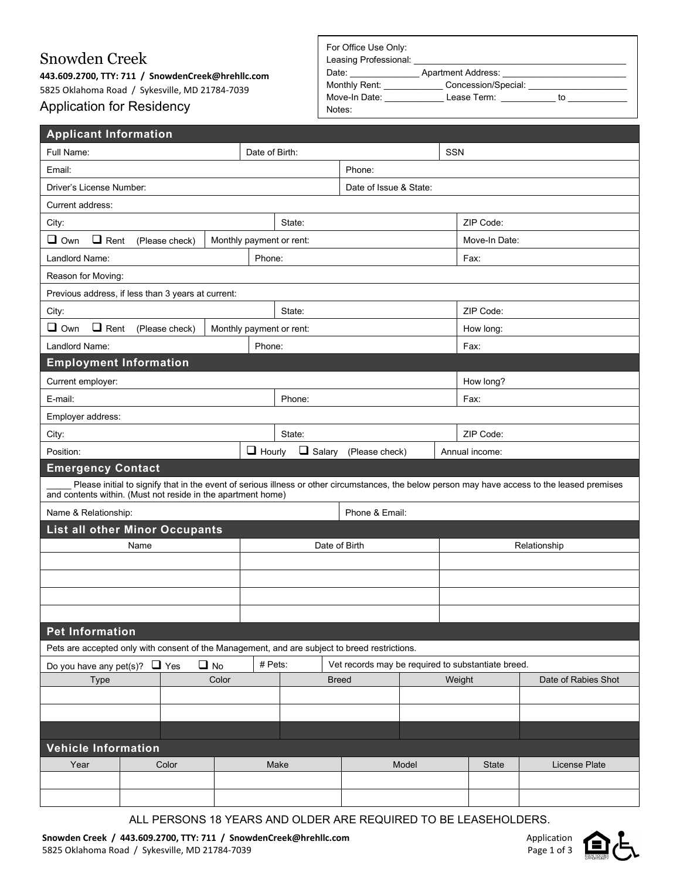## Snowden Creek

**443.609.2700, TTY: 711 / SnowdenCreek@hrehllc.com** 5825 Oklahoma Road / Sykesville, MD 21784-7039 Application for Residency

| For Office Use Only:<br>Leasing Professional: |                           |    |  |
|-----------------------------------------------|---------------------------|----|--|
| Date:                                         | <b>Apartment Address:</b> |    |  |
| Monthly Rent:                                 | Concession/Special:       |    |  |
| Move-In Date:                                 | Lease Term:               | to |  |
| Notes:                                        |                           |    |  |

| <b>Applicant Information</b>                                                                  |                          |                         |                          |                |                        |                                                    |               |                     |                |                                                                                                                                                |  |
|-----------------------------------------------------------------------------------------------|--------------------------|-------------------------|--------------------------|----------------|------------------------|----------------------------------------------------|---------------|---------------------|----------------|------------------------------------------------------------------------------------------------------------------------------------------------|--|
| Full Name:                                                                                    |                          |                         |                          | Date of Birth: |                        |                                                    |               | <b>SSN</b>          |                |                                                                                                                                                |  |
| Email:                                                                                        |                          |                         |                          |                | Phone:                 |                                                    |               |                     |                |                                                                                                                                                |  |
| Driver's License Number:                                                                      |                          |                         |                          |                | Date of Issue & State: |                                                    |               |                     |                |                                                                                                                                                |  |
| Current address:                                                                              |                          |                         |                          |                |                        |                                                    |               |                     |                |                                                                                                                                                |  |
| City:                                                                                         |                          |                         |                          |                | State:                 | ZIP Code:                                          |               |                     |                |                                                                                                                                                |  |
| $\Box$ Own<br>$\Box$ Rent                                                                     |                          | (Please check)          | Monthly payment or rent: |                |                        |                                                    | Move-In Date: |                     |                |                                                                                                                                                |  |
| Landlord Name:                                                                                |                          |                         |                          | Phone:         |                        |                                                    | Fax:          |                     |                |                                                                                                                                                |  |
| Reason for Moving:                                                                            |                          |                         |                          |                |                        |                                                    |               |                     |                |                                                                                                                                                |  |
| Previous address, if less than 3 years at current:                                            |                          |                         |                          |                |                        |                                                    |               |                     |                |                                                                                                                                                |  |
| City:                                                                                         |                          |                         |                          |                | State:                 |                                                    |               |                     | ZIP Code:      |                                                                                                                                                |  |
| $\Box$ Rent<br>$\Box$ Own                                                                     |                          | (Please check)          | Monthly payment or rent: |                |                        |                                                    |               |                     | How long:      |                                                                                                                                                |  |
| Landlord Name:                                                                                |                          |                         |                          | Phone:         |                        |                                                    |               |                     | Fax:           |                                                                                                                                                |  |
| <b>Employment Information</b>                                                                 |                          |                         |                          |                |                        |                                                    |               |                     |                |                                                                                                                                                |  |
| Current employer:                                                                             |                          |                         |                          |                |                        |                                                    |               |                     | How long?      |                                                                                                                                                |  |
| E-mail:                                                                                       |                          |                         |                          |                | Phone:                 |                                                    |               |                     | Fax:           |                                                                                                                                                |  |
| Employer address:                                                                             |                          |                         |                          |                |                        |                                                    |               |                     |                |                                                                                                                                                |  |
| City:                                                                                         |                          |                         |                          |                | State:                 |                                                    |               |                     | ZIP Code:      |                                                                                                                                                |  |
| Position:                                                                                     |                          |                         |                          | $\Box$ Hourly  | $\Box$ Salary          | (Please check)                                     |               |                     | Annual income: |                                                                                                                                                |  |
|                                                                                               | <b>Emergency Contact</b> |                         |                          |                |                        |                                                    |               |                     |                |                                                                                                                                                |  |
| and contents within. (Must not reside in the apartment home)                                  |                          |                         |                          |                |                        |                                                    |               |                     |                | Please initial to signify that in the event of serious illness or other circumstances, the below person may have access to the leased premises |  |
| Phone & Email:<br>Name & Relationship:                                                        |                          |                         |                          |                |                        |                                                    |               |                     |                |                                                                                                                                                |  |
| <b>List all other Minor Occupants</b>                                                         |                          |                         |                          |                |                        |                                                    |               |                     |                |                                                                                                                                                |  |
| Name                                                                                          |                          |                         |                          |                | Date of Birth          |                                                    |               |                     | Relationship   |                                                                                                                                                |  |
|                                                                                               |                          |                         |                          |                |                        |                                                    |               |                     |                |                                                                                                                                                |  |
|                                                                                               |                          |                         |                          |                |                        |                                                    |               |                     |                |                                                                                                                                                |  |
|                                                                                               |                          |                         |                          |                |                        |                                                    |               |                     |                |                                                                                                                                                |  |
|                                                                                               |                          |                         |                          |                |                        |                                                    |               |                     |                |                                                                                                                                                |  |
| <b>Pet Information</b>                                                                        |                          |                         |                          |                |                        |                                                    |               |                     |                |                                                                                                                                                |  |
| Pets are accepted only with consent of the Management, and are subject to breed restrictions. |                          |                         |                          |                |                        |                                                    |               |                     |                |                                                                                                                                                |  |
| Do you have any pet(s)?                                                                       |                          | $\Box$ Yes<br>$\Box$ No |                          | # Pets:        |                        | Vet records may be required to substantiate breed. |               |                     |                |                                                                                                                                                |  |
| Color<br>Type                                                                                 |                          |                         |                          | <b>Breed</b>   |                        | Weight                                             |               | Date of Rabies Shot |                |                                                                                                                                                |  |
|                                                                                               |                          |                         |                          |                |                        |                                                    |               |                     |                |                                                                                                                                                |  |
|                                                                                               |                          |                         |                          |                |                        |                                                    |               |                     |                |                                                                                                                                                |  |
| <b>Vehicle Information</b>                                                                    |                          |                         |                          |                |                        |                                                    |               |                     |                |                                                                                                                                                |  |
| Year                                                                                          |                          | Color                   |                          |                | Make                   |                                                    | Model         |                     | State          | License Plate                                                                                                                                  |  |
|                                                                                               |                          |                         |                          |                |                        |                                                    |               |                     |                |                                                                                                                                                |  |
|                                                                                               |                          |                         |                          |                |                        |                                                    |               |                     |                |                                                                                                                                                |  |
|                                                                                               |                          |                         |                          |                |                        |                                                    |               |                     |                |                                                                                                                                                |  |

ALL PERSONS 18 YEARS AND OLDER ARE REQUIRED TO BE LEASEHOLDERS.

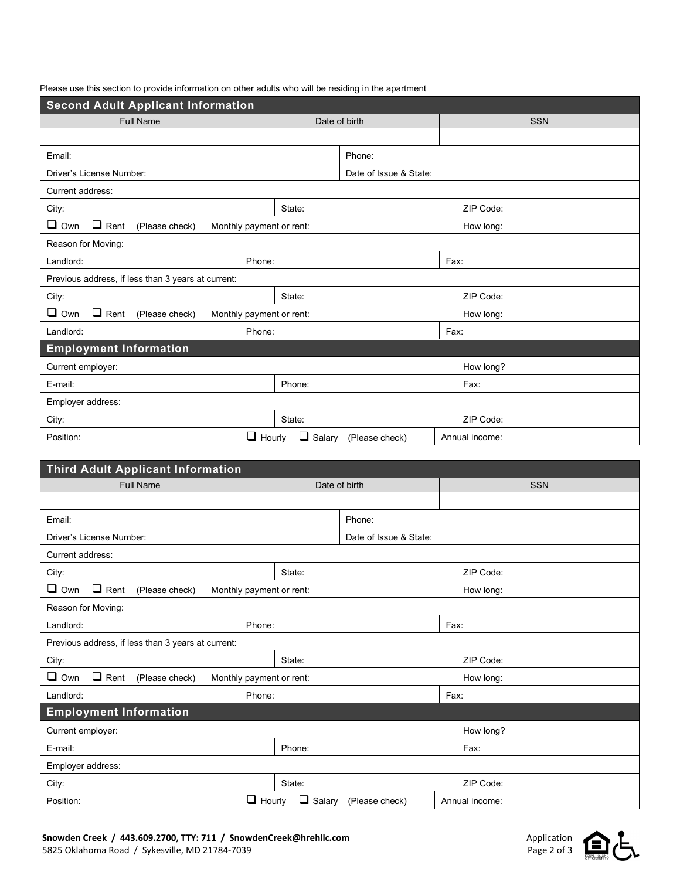Please use this section to provide information on other adults who will be residing in the apartment

| <b>Second Adult Applicant Information</b>                                            |                                |                          |                |           |            |  |  |  |  |
|--------------------------------------------------------------------------------------|--------------------------------|--------------------------|----------------|-----------|------------|--|--|--|--|
| <b>Full Name</b>                                                                     |                                | Date of birth            |                |           | <b>SSN</b> |  |  |  |  |
|                                                                                      |                                |                          |                |           |            |  |  |  |  |
| Email:                                                                               |                                | Phone:                   |                |           |            |  |  |  |  |
| Driver's License Number:                                                             |                                | Date of Issue & State:   |                |           |            |  |  |  |  |
| Current address:                                                                     |                                |                          |                |           |            |  |  |  |  |
| City:                                                                                | State:                         |                          |                | ZIP Code: |            |  |  |  |  |
| $\Box$ Own<br>$\Box$ Rent<br>Monthly payment or rent:<br>(Please check)<br>How long: |                                |                          |                |           |            |  |  |  |  |
| Reason for Moving:                                                                   |                                |                          |                |           |            |  |  |  |  |
| Landlord:                                                                            | Phone:                         | Fax:                     |                |           |            |  |  |  |  |
| Previous address, if less than 3 years at current:                                   |                                |                          |                |           |            |  |  |  |  |
| City:                                                                                | State:                         | ZIP Code:                |                |           |            |  |  |  |  |
| $\Box$ Rent<br>$\Box$ Own<br>(Please check)                                          |                                | Monthly payment or rent: |                |           | How long:  |  |  |  |  |
| Landlord:                                                                            |                                | Fax:<br>Phone:           |                |           |            |  |  |  |  |
| <b>Employment Information</b>                                                        |                                |                          |                |           |            |  |  |  |  |
| Current employer:                                                                    |                                |                          |                |           | How long?  |  |  |  |  |
| E-mail:<br>Phone:                                                                    |                                |                          | Fax:           |           |            |  |  |  |  |
| Employer address:                                                                    |                                |                          |                |           |            |  |  |  |  |
| City:                                                                                | State:                         |                          |                | ZIP Code: |            |  |  |  |  |
| Position:                                                                            | $\Box$ Hourly<br>$\Box$ Salary | (Please check)           | Annual income: |           |            |  |  |  |  |

| <b>Third Adult Applicant Information</b>           |        |                                |                        |           |                |  |
|----------------------------------------------------|--------|--------------------------------|------------------------|-----------|----------------|--|
| <b>Full Name</b>                                   |        | Date of birth                  |                        |           | <b>SSN</b>     |  |
|                                                    |        |                                |                        |           |                |  |
| Email:                                             |        |                                | Phone:                 |           |                |  |
| Driver's License Number:                           |        |                                | Date of Issue & State: |           |                |  |
| Current address:                                   |        |                                |                        |           |                |  |
| City:                                              | State: |                                |                        | ZIP Code: |                |  |
| $\Box$ Rent<br>$\Box$ Own<br>(Please check)        |        | Monthly payment or rent:       |                        |           | How long:      |  |
| Reason for Moving:                                 |        |                                |                        |           |                |  |
| Landlord:                                          | Phone: |                                |                        |           | Fax:           |  |
| Previous address, if less than 3 years at current: |        |                                |                        |           |                |  |
| City:                                              | State: |                                |                        | ZIP Code: |                |  |
| $\Box$ Rent<br>$\Box$ Own<br>(Please check)        |        | Monthly payment or rent:       |                        |           | How long:      |  |
| Landlord:                                          |        | Fax:<br>Phone:                 |                        |           |                |  |
| <b>Employment Information</b>                      |        |                                |                        |           |                |  |
| Current employer:                                  |        |                                |                        |           | How long?      |  |
| Phone:<br>E-mail:                                  |        |                                | Fax:                   |           |                |  |
| Employer address:                                  |        |                                |                        |           |                |  |
| City:                                              | State: |                                |                        |           | ZIP Code:      |  |
| Position:                                          |        | $\Box$ Hourly<br>$\Box$ Salary | (Please check)         |           | Annual income: |  |